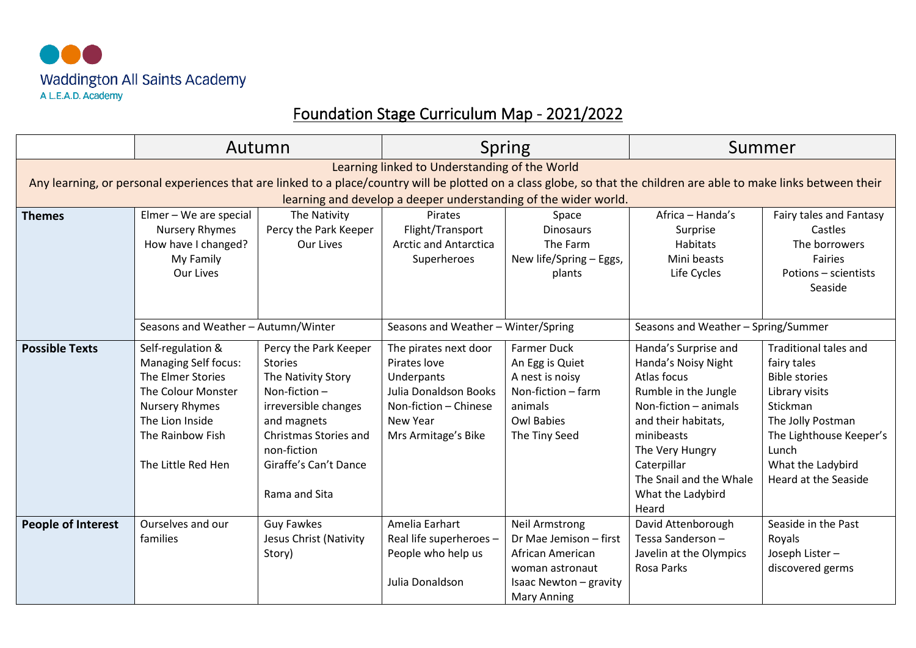

## Foundation Stage Curriculum Map - 2021/2022

|                                                                                                                                                                                                                                                                                          | Autumn                                                                                                                                                                                   |                                                                                                                                                                                                                  | <b>Spring</b>                                                                                                                                   |                                                                                                                                        | Summer                                                                                                                                                                                                                                      |                                                                                                                                                                                                         |  |
|------------------------------------------------------------------------------------------------------------------------------------------------------------------------------------------------------------------------------------------------------------------------------------------|------------------------------------------------------------------------------------------------------------------------------------------------------------------------------------------|------------------------------------------------------------------------------------------------------------------------------------------------------------------------------------------------------------------|-------------------------------------------------------------------------------------------------------------------------------------------------|----------------------------------------------------------------------------------------------------------------------------------------|---------------------------------------------------------------------------------------------------------------------------------------------------------------------------------------------------------------------------------------------|---------------------------------------------------------------------------------------------------------------------------------------------------------------------------------------------------------|--|
| Learning linked to Understanding of the World<br>Any learning, or personal experiences that are linked to a place/country will be plotted on a class globe, so that the children are able to make links between their<br>learning and develop a deeper understanding of the wider world. |                                                                                                                                                                                          |                                                                                                                                                                                                                  |                                                                                                                                                 |                                                                                                                                        |                                                                                                                                                                                                                                             |                                                                                                                                                                                                         |  |
| <b>Themes</b>                                                                                                                                                                                                                                                                            | Elmer - We are special<br><b>Nursery Rhymes</b><br>How have I changed?<br>My Family<br>Our Lives                                                                                         | The Nativity<br>Percy the Park Keeper<br><b>Our Lives</b>                                                                                                                                                        | Pirates<br>Flight/Transport<br><b>Arctic and Antarctica</b><br>Superheroes                                                                      | Space<br><b>Dinosaurs</b><br>The Farm<br>New life/Spring - Eggs,<br>plants                                                             | Africa - Handa's<br>Surprise<br><b>Habitats</b><br>Mini beasts<br>Life Cycles                                                                                                                                                               | Fairy tales and Fantasy<br>Castles<br>The borrowers<br><b>Fairies</b><br>Potions - scientists<br>Seaside                                                                                                |  |
|                                                                                                                                                                                                                                                                                          | Seasons and Weather - Autumn/Winter                                                                                                                                                      |                                                                                                                                                                                                                  | Seasons and Weather - Winter/Spring                                                                                                             |                                                                                                                                        | Seasons and Weather - Spring/Summer                                                                                                                                                                                                         |                                                                                                                                                                                                         |  |
| <b>Possible Texts</b>                                                                                                                                                                                                                                                                    | Self-regulation &<br><b>Managing Self focus:</b><br>The Elmer Stories<br><b>The Colour Monster</b><br><b>Nursery Rhymes</b><br>The Lion Inside<br>The Rainbow Fish<br>The Little Red Hen | Percy the Park Keeper<br><b>Stories</b><br>The Nativity Story<br>Non-fiction $-$<br>irreversible changes<br>and magnets<br><b>Christmas Stories and</b><br>non-fiction<br>Giraffe's Can't Dance<br>Rama and Sita | The pirates next door<br>Pirates love<br>Underpants<br><b>Julia Donaldson Books</b><br>Non-fiction - Chinese<br>New Year<br>Mrs Armitage's Bike | <b>Farmer Duck</b><br>An Egg is Quiet<br>A nest is noisy<br>Non-fiction - farm<br>animals<br><b>Owl Babies</b><br>The Tiny Seed        | Handa's Surprise and<br>Handa's Noisy Night<br>Atlas focus<br>Rumble in the Jungle<br>Non-fiction - animals<br>and their habitats,<br>minibeasts<br>The Very Hungry<br>Caterpillar<br>The Snail and the Whale<br>What the Ladybird<br>Heard | <b>Traditional tales and</b><br>fairy tales<br><b>Bible stories</b><br>Library visits<br>Stickman<br>The Jolly Postman<br>The Lighthouse Keeper's<br>Lunch<br>What the Ladybird<br>Heard at the Seaside |  |
| <b>People of Interest</b>                                                                                                                                                                                                                                                                | Ourselves and our<br>families                                                                                                                                                            | <b>Guy Fawkes</b><br>Jesus Christ (Nativity<br>Story)                                                                                                                                                            | Amelia Earhart<br>Real life superheroes -<br>People who help us<br>Julia Donaldson                                                              | <b>Neil Armstrong</b><br>Dr Mae Jemison - first<br>African American<br>woman astronaut<br>Isaac Newton - gravity<br><b>Mary Anning</b> | David Attenborough<br>Tessa Sanderson-<br>Javelin at the Olympics<br>Rosa Parks                                                                                                                                                             | Seaside in the Past<br>Royals<br>Joseph Lister-<br>discovered germs                                                                                                                                     |  |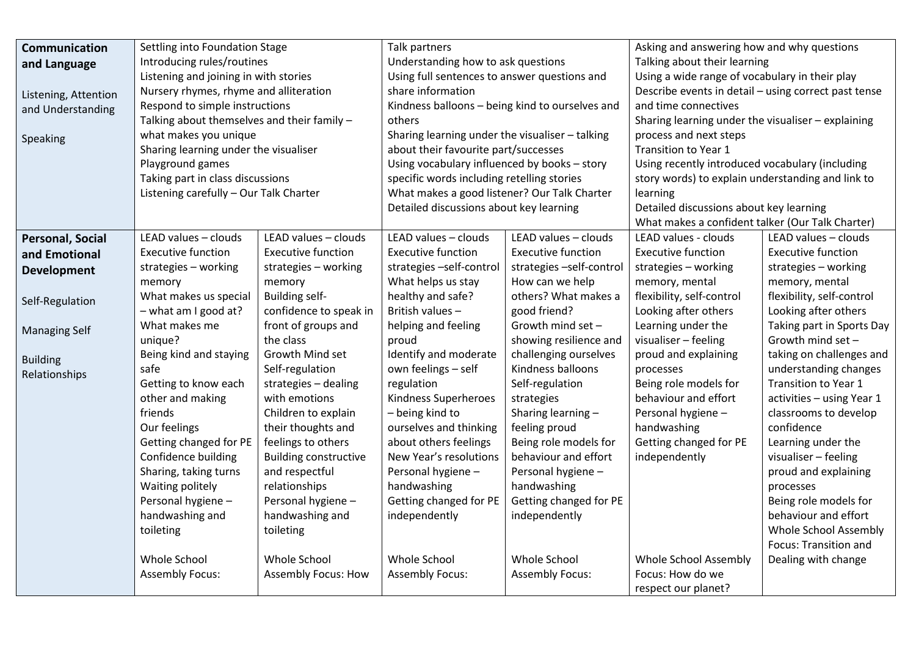| Communication           | Settling into Foundation Stage              |                              | Talk partners                                   |                           | Asking and answering how and why questions           |                           |
|-------------------------|---------------------------------------------|------------------------------|-------------------------------------------------|---------------------------|------------------------------------------------------|---------------------------|
| and Language            | Introducing rules/routines                  |                              | Understanding how to ask questions              |                           | Talking about their learning                         |                           |
|                         | Listening and joining in with stories       |                              | Using full sentences to answer questions and    |                           | Using a wide range of vocabulary in their play       |                           |
| Listening, Attention    | Nursery rhymes, rhyme and alliteration      |                              | share information                               |                           | Describe events in detail - using correct past tense |                           |
| and Understanding       | Respond to simple instructions              |                              | Kindness balloons - being kind to ourselves and |                           | and time connectives                                 |                           |
|                         | Talking about themselves and their family - |                              | others                                          |                           | Sharing learning under the visualiser - explaining   |                           |
| Speaking                | what makes you unique                       |                              | Sharing learning under the visualiser - talking |                           | process and next steps                               |                           |
|                         | Sharing learning under the visualiser       |                              | about their favourite part/successes            |                           | Transition to Year 1                                 |                           |
|                         | Playground games                            |                              | Using vocabulary influenced by books - story    |                           | Using recently introduced vocabulary (including      |                           |
|                         | Taking part in class discussions            |                              | specific words including retelling stories      |                           | story words) to explain understanding and link to    |                           |
|                         | Listening carefully - Our Talk Charter      |                              | What makes a good listener? Our Talk Charter    |                           | learning                                             |                           |
|                         |                                             |                              | Detailed discussions about key learning         |                           | Detailed discussions about key learning              |                           |
|                         |                                             |                              |                                                 |                           | What makes a confident talker (Our Talk Charter)     |                           |
| <b>Personal, Social</b> | LEAD values - clouds                        | LEAD values - clouds         | LEAD values - clouds                            | LEAD values - clouds      | LEAD values - clouds                                 | LEAD values - clouds      |
| and Emotional           | <b>Executive function</b>                   | <b>Executive function</b>    | <b>Executive function</b>                       | <b>Executive function</b> | <b>Executive function</b>                            | <b>Executive function</b> |
| <b>Development</b>      | strategies - working                        | strategies - working         | strategies -self-control                        | strategies -self-control  | strategies - working                                 | strategies - working      |
|                         | memory                                      | memory                       | What helps us stay                              | How can we help           | memory, mental                                       | memory, mental            |
| Self-Regulation         | What makes us special                       | <b>Building self-</b>        | healthy and safe?                               | others? What makes a      | flexibility, self-control                            | flexibility, self-control |
|                         | $-$ what am I good at?                      | confidence to speak in       | British values-                                 | good friend?              | Looking after others                                 | Looking after others      |
| <b>Managing Self</b>    | What makes me                               | front of groups and          | helping and feeling                             | Growth mind set -         | Learning under the                                   | Taking part in Sports Day |
|                         | unique?                                     | the class                    | proud                                           | showing resilience and    | visualiser - feeling                                 | Growth mind set -         |
| <b>Building</b>         | Being kind and staying                      | Growth Mind set              | Identify and moderate                           | challenging ourselves     | proud and explaining                                 | taking on challenges and  |
| Relationships           | safe                                        | Self-regulation              | own feelings - self                             | Kindness balloons         | processes                                            | understanding changes     |
|                         | Getting to know each                        | strategies - dealing         | regulation                                      | Self-regulation           | Being role models for                                | Transition to Year 1      |
|                         | other and making                            | with emotions                | Kindness Superheroes                            | strategies                | behaviour and effort                                 | activities - using Year 1 |
|                         | friends                                     | Children to explain          | - being kind to                                 | Sharing learning -        | Personal hygiene -                                   | classrooms to develop     |
|                         | Our feelings                                | their thoughts and           | ourselves and thinking                          | feeling proud             | handwashing                                          | confidence                |
|                         | Getting changed for PE                      | feelings to others           | about others feelings                           | Being role models for     | Getting changed for PE                               | Learning under the        |
|                         | Confidence building                         | <b>Building constructive</b> | New Year's resolutions                          | behaviour and effort      | independently                                        | visualiser - feeling      |
|                         | Sharing, taking turns                       | and respectful               | Personal hygiene -                              | Personal hygiene -        |                                                      | proud and explaining      |
|                         | Waiting politely                            | relationships                | handwashing                                     | handwashing               |                                                      | processes                 |
|                         | Personal hygiene -                          | Personal hygiene -           | Getting changed for PE                          | Getting changed for PE    |                                                      | Being role models for     |
|                         | handwashing and                             | handwashing and              | independently                                   | independently             |                                                      | behaviour and effort      |
|                         | toileting                                   | toileting                    |                                                 |                           |                                                      | Whole School Assembly     |
|                         |                                             |                              |                                                 |                           |                                                      | Focus: Transition and     |
|                         | Whole School                                | Whole School                 | Whole School                                    | Whole School              | <b>Whole School Assembly</b>                         | Dealing with change       |
|                         | <b>Assembly Focus:</b>                      | <b>Assembly Focus: How</b>   | <b>Assembly Focus:</b>                          | <b>Assembly Focus:</b>    | Focus: How do we                                     |                           |
|                         |                                             |                              |                                                 |                           | respect our planet?                                  |                           |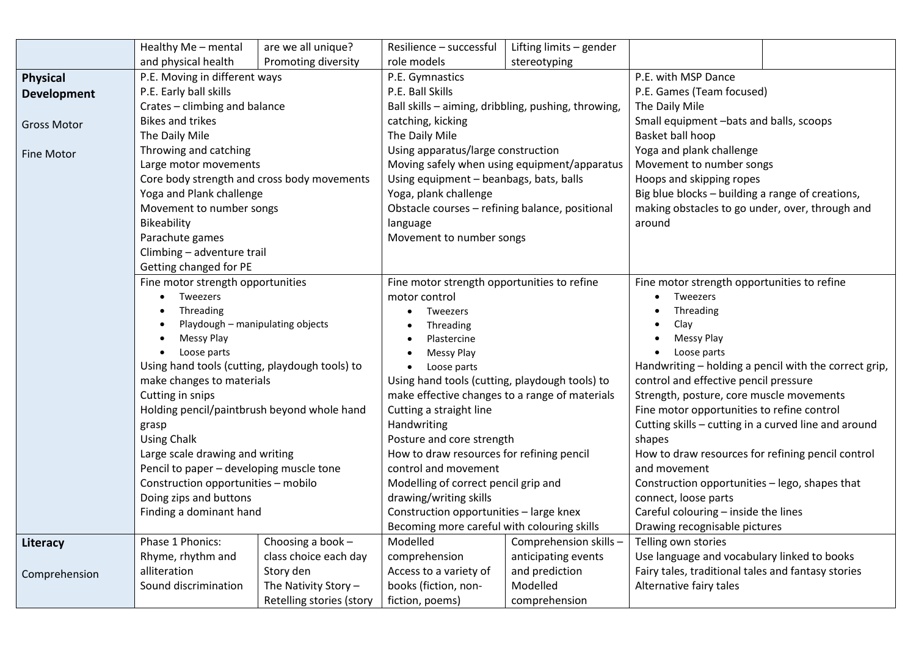|                    | Healthy Me - mental                                                                      | are we all unique?       | Resilience – successful                               | Lifting limits - gender                      |                                                                                                 |  |
|--------------------|------------------------------------------------------------------------------------------|--------------------------|-------------------------------------------------------|----------------------------------------------|-------------------------------------------------------------------------------------------------|--|
|                    | and physical health                                                                      | Promoting diversity      | role models                                           | stereotyping                                 |                                                                                                 |  |
| <b>Physical</b>    | P.E. Moving in different ways                                                            |                          | P.E. Gymnastics                                       |                                              | P.E. with MSP Dance                                                                             |  |
| <b>Development</b> | P.E. Early ball skills                                                                   |                          | P.E. Ball Skills                                      |                                              | P.E. Games (Team focused)                                                                       |  |
|                    | Crates - climbing and balance                                                            |                          | Ball skills - aiming, dribbling, pushing, throwing,   |                                              | The Daily Mile                                                                                  |  |
| <b>Gross Motor</b> | <b>Bikes and trikes</b>                                                                  |                          | catching, kicking                                     |                                              | Small equipment -bats and balls, scoops                                                         |  |
|                    | The Daily Mile                                                                           |                          | The Daily Mile                                        |                                              | Basket ball hoop                                                                                |  |
| <b>Fine Motor</b>  | Throwing and catching                                                                    |                          | Using apparatus/large construction                    |                                              | Yoga and plank challenge                                                                        |  |
|                    | Large motor movements                                                                    |                          |                                                       | Moving safely when using equipment/apparatus | Movement to number songs                                                                        |  |
|                    | Core body strength and cross body movements                                              |                          | Using equipment - beanbags, bats, balls               |                                              | Hoops and skipping ropes                                                                        |  |
|                    | Yoga and Plank challenge                                                                 |                          | Yoga, plank challenge                                 |                                              | Big blue blocks - building a range of creations,                                                |  |
|                    | Movement to number songs                                                                 |                          | Obstacle courses - refining balance, positional       |                                              | making obstacles to go under, over, through and                                                 |  |
|                    | Bikeability                                                                              |                          | language                                              |                                              | around                                                                                          |  |
|                    | Parachute games                                                                          |                          | Movement to number songs                              |                                              |                                                                                                 |  |
|                    | Climbing - adventure trail                                                               |                          |                                                       |                                              |                                                                                                 |  |
|                    | Getting changed for PE                                                                   |                          |                                                       |                                              |                                                                                                 |  |
|                    | Fine motor strength opportunities                                                        |                          | Fine motor strength opportunities to refine           |                                              | Fine motor strength opportunities to refine                                                     |  |
|                    | Tweezers                                                                                 |                          | motor control                                         |                                              | Tweezers                                                                                        |  |
|                    | Threading                                                                                |                          | Tweezers                                              |                                              | Threading                                                                                       |  |
|                    | Playdough - manipulating objects                                                         |                          | Threading<br>$\bullet$                                |                                              | Clay                                                                                            |  |
|                    | Messy Play<br>Loose parts<br>$\bullet$<br>Using hand tools (cutting, playdough tools) to |                          | Plastercine<br>Messy Play<br>Loose parts<br>$\bullet$ |                                              | Messy Play<br>Loose parts<br>$\bullet$<br>Handwriting - holding a pencil with the correct grip, |  |
|                    |                                                                                          |                          |                                                       |                                              |                                                                                                 |  |
|                    |                                                                                          |                          |                                                       |                                              |                                                                                                 |  |
|                    | make changes to materials                                                                |                          | Using hand tools (cutting, playdough tools) to        |                                              | control and effective pencil pressure                                                           |  |
|                    | Cutting in snips                                                                         |                          | make effective changes to a range of materials        |                                              | Strength, posture, core muscle movements                                                        |  |
|                    | Holding pencil/paintbrush beyond whole hand                                              |                          | Cutting a straight line                               |                                              | Fine motor opportunities to refine control                                                      |  |
|                    | grasp                                                                                    |                          | Handwriting                                           |                                              | Cutting skills - cutting in a curved line and around                                            |  |
|                    | <b>Using Chalk</b>                                                                       |                          | Posture and core strength                             |                                              | shapes                                                                                          |  |
|                    | Large scale drawing and writing                                                          |                          | How to draw resources for refining pencil             |                                              | How to draw resources for refining pencil control                                               |  |
|                    | Pencil to paper - developing muscle tone                                                 |                          | control and movement                                  |                                              | and movement                                                                                    |  |
|                    | Construction opportunities - mobilo                                                      |                          | Modelling of correct pencil grip and                  |                                              | Construction opportunities - lego, shapes that                                                  |  |
|                    | Doing zips and buttons                                                                   |                          | drawing/writing skills                                |                                              | connect, loose parts                                                                            |  |
|                    | Finding a dominant hand                                                                  |                          | Construction opportunities - large knex               |                                              | Careful colouring - inside the lines                                                            |  |
|                    |                                                                                          |                          | Becoming more careful with colouring skills           |                                              | Drawing recognisable pictures                                                                   |  |
| Literacy           | Phase 1 Phonics:                                                                         | Choosing a book $-$      | Modelled                                              | Comprehension skills -                       | Telling own stories                                                                             |  |
|                    | Rhyme, rhythm and                                                                        | class choice each day    | comprehension                                         | anticipating events                          | Use language and vocabulary linked to books                                                     |  |
| Comprehension      | alliteration                                                                             | Story den                | Access to a variety of                                | and prediction                               | Fairy tales, traditional tales and fantasy stories                                              |  |
|                    | Sound discrimination                                                                     | The Nativity Story $-$   | books (fiction, non-                                  | Modelled                                     | Alternative fairy tales                                                                         |  |
|                    |                                                                                          | Retelling stories (story | fiction, poems)                                       | comprehension                                |                                                                                                 |  |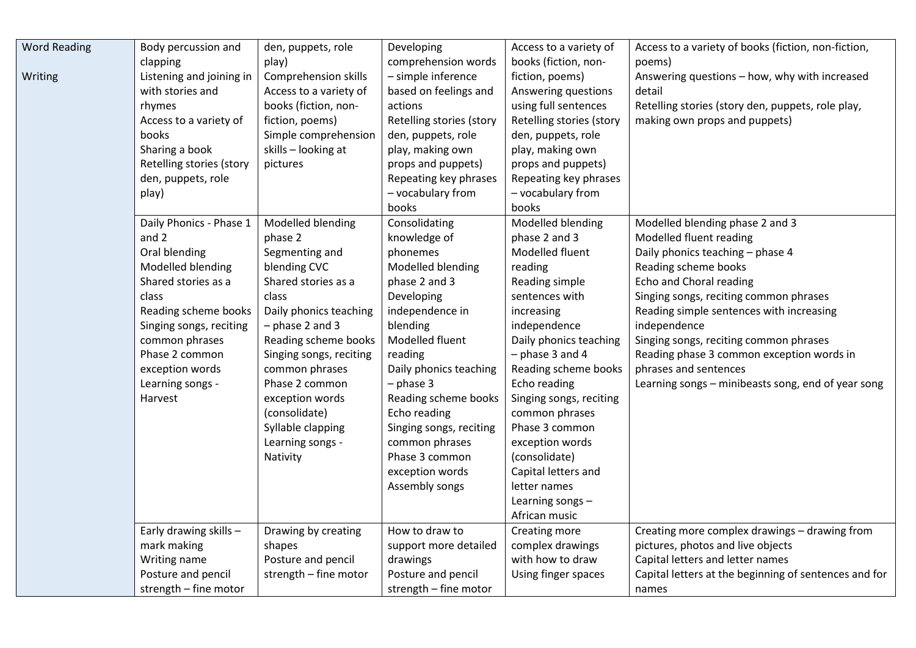| <b>Word Reading</b> | Body percussion and      | den, puppets, role          | Developing               | Access to a variety of   | Access to a variety of books (fiction, non-fiction,   |
|---------------------|--------------------------|-----------------------------|--------------------------|--------------------------|-------------------------------------------------------|
|                     | clapping                 | play)                       | comprehension words      | books (fiction, non-     | poems)                                                |
| Writing             | Listening and joining in | <b>Comprehension skills</b> | - simple inference       | fiction, poems)          | Answering questions - how, why with increased         |
|                     | with stories and         | Access to a variety of      | based on feelings and    | Answering questions      | detail                                                |
|                     | rhymes                   | books (fiction, non-        | actions                  | using full sentences     | Retelling stories (story den, puppets, role play,     |
|                     | Access to a variety of   | fiction, poems)             | Retelling stories (story | Retelling stories (story | making own props and puppets)                         |
|                     | books                    | Simple comprehension        | den, puppets, role       | den, puppets, role       |                                                       |
|                     | Sharing a book           | skills - looking at         | play, making own         | play, making own         |                                                       |
|                     | Retelling stories (story | pictures                    | props and puppets)       | props and puppets)       |                                                       |
|                     | den, puppets, role       |                             | Repeating key phrases    | Repeating key phrases    |                                                       |
|                     | play)                    |                             | - vocabulary from        | - vocabulary from        |                                                       |
|                     |                          |                             | books                    | books                    |                                                       |
|                     | Daily Phonics - Phase 1  | Modelled blending           | Consolidating            | Modelled blending        | Modelled blending phase 2 and 3                       |
|                     | and 2                    | phase 2                     | knowledge of             | phase 2 and 3            | Modelled fluent reading                               |
|                     | Oral blending            | Segmenting and              | phonemes                 | Modelled fluent          | Daily phonics teaching - phase 4                      |
|                     | Modelled blending        | blending CVC                | Modelled blending        | reading                  | Reading scheme books                                  |
|                     | Shared stories as a      | Shared stories as a         | phase 2 and 3            | Reading simple           | Echo and Choral reading                               |
|                     | class                    | class                       | Developing               | sentences with           | Singing songs, reciting common phrases                |
|                     | Reading scheme books     | Daily phonics teaching      | independence in          | increasing               | Reading simple sentences with increasing              |
|                     | Singing songs, reciting  | $-$ phase 2 and 3           | blending                 | independence             | independence                                          |
|                     | common phrases           | Reading scheme books        | Modelled fluent          | Daily phonics teaching   | Singing songs, reciting common phrases                |
|                     | Phase 2 common           | Singing songs, reciting     | reading                  | $-$ phase 3 and 4        | Reading phase 3 common exception words in             |
|                     | exception words          | common phrases              | Daily phonics teaching   | Reading scheme books     | phrases and sentences                                 |
|                     | Learning songs -         | Phase 2 common              | $-$ phase 3              | Echo reading             | Learning songs - minibeasts song, end of year song    |
|                     | Harvest                  | exception words             | Reading scheme books     | Singing songs, reciting  |                                                       |
|                     |                          | (consolidate)               | Echo reading             | common phrases           |                                                       |
|                     |                          | Syllable clapping           | Singing songs, reciting  | Phase 3 common           |                                                       |
|                     |                          | Learning songs -            | common phrases           | exception words          |                                                       |
|                     |                          | Nativity                    | Phase 3 common           | (consolidate)            |                                                       |
|                     |                          |                             | exception words          | Capital letters and      |                                                       |
|                     |                          |                             | Assembly songs           | letter names             |                                                       |
|                     |                          |                             |                          | Learning songs -         |                                                       |
|                     |                          |                             |                          | African music            |                                                       |
|                     | Early drawing skills -   | Drawing by creating         | How to draw to           | Creating more            | Creating more complex drawings - drawing from         |
|                     | mark making              | shapes                      | support more detailed    | complex drawings         | pictures, photos and live objects                     |
|                     | Writing name             | Posture and pencil          | drawings                 | with how to draw         | Capital letters and letter names                      |
|                     | Posture and pencil       | strength - fine motor       | Posture and pencil       | Using finger spaces      | Capital letters at the beginning of sentences and for |
|                     | strength - fine motor    |                             | strength - fine motor    |                          | names                                                 |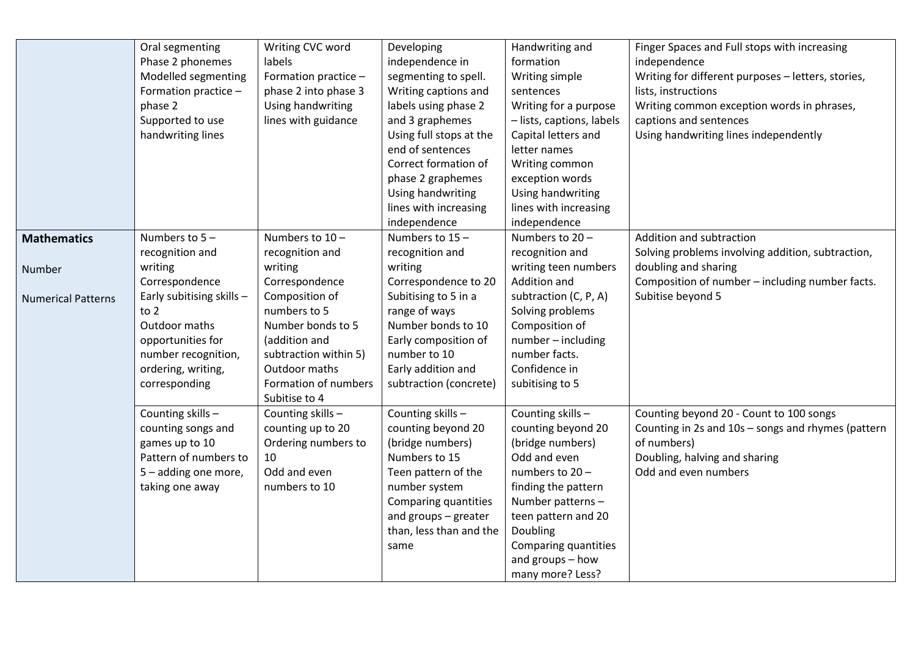|                           | Oral segmenting           | Writing CVC word      | Developing              | Handwriting and           | Finger Spaces and Full stops with increasing       |
|---------------------------|---------------------------|-----------------------|-------------------------|---------------------------|----------------------------------------------------|
|                           | Phase 2 phonemes          | labels                | independence in         | formation                 | independence                                       |
|                           | Modelled segmenting       | Formation practice -  | segmenting to spell.    | Writing simple            | Writing for different purposes - letters, stories, |
|                           | Formation practice -      | phase 2 into phase 3  | Writing captions and    | sentences                 | lists, instructions                                |
|                           |                           |                       | labels using phase 2    |                           |                                                    |
|                           | phase 2                   | Using handwriting     |                         | Writing for a purpose     | Writing common exception words in phrases,         |
|                           | Supported to use          | lines with guidance   | and 3 graphemes         | - lists, captions, labels | captions and sentences                             |
|                           | handwriting lines         |                       | Using full stops at the | Capital letters and       | Using handwriting lines independently              |
|                           |                           |                       | end of sentences        | letter names              |                                                    |
|                           |                           |                       | Correct formation of    | Writing common            |                                                    |
|                           |                           |                       | phase 2 graphemes       | exception words           |                                                    |
|                           |                           |                       | Using handwriting       | Using handwriting         |                                                    |
|                           |                           |                       | lines with increasing   | lines with increasing     |                                                    |
|                           |                           |                       | independence            | independence              |                                                    |
| <b>Mathematics</b>        | Numbers to $5 -$          | Numbers to 10-        | Numbers to $15 -$       | Numbers to 20-            | Addition and subtraction                           |
|                           | recognition and           | recognition and       | recognition and         | recognition and           | Solving problems involving addition, subtraction,  |
| Number                    | writing                   | writing               | writing                 | writing teen numbers      | doubling and sharing                               |
|                           | Correspondence            | Correspondence        | Correspondence to 20    | Addition and              | Composition of number - including number facts.    |
| <b>Numerical Patterns</b> | Early subitising skills - | Composition of        | Subitising to 5 in a    | subtraction (C, P, A)     | Subitise beyond 5                                  |
|                           | to $2$                    | numbers to 5          | range of ways           | Solving problems          |                                                    |
|                           | Outdoor maths             | Number bonds to 5     | Number bonds to 10      | Composition of            |                                                    |
|                           | opportunities for         | (addition and         | Early composition of    | number - including        |                                                    |
|                           | number recognition,       | subtraction within 5) | number to 10            | number facts.             |                                                    |
|                           | ordering, writing,        | Outdoor maths         | Early addition and      | Confidence in             |                                                    |
|                           | corresponding             | Formation of numbers  | subtraction (concrete)  | subitising to 5           |                                                    |
|                           |                           | Subitise to 4         |                         |                           |                                                    |
|                           | Counting skills -         | Counting skills -     | Counting skills -       | Counting skills -         | Counting beyond 20 - Count to 100 songs            |
|                           | counting songs and        | counting up to 20     | counting beyond 20      | counting beyond 20        | Counting in 2s and 10s - songs and rhymes (pattern |
|                           | games up to 10            | Ordering numbers to   | (bridge numbers)        | (bridge numbers)          | of numbers)                                        |
|                           | Pattern of numbers to     | 10                    | Numbers to 15           | Odd and even              | Doubling, halving and sharing                      |
|                           | 5 - adding one more,      | Odd and even          | Teen pattern of the     | numbers to 20-            | Odd and even numbers                               |
|                           |                           | numbers to 10         | number system           | finding the pattern       |                                                    |
|                           | taking one away           |                       |                         |                           |                                                    |
|                           |                           |                       | Comparing quantities    | Number patterns-          |                                                    |
|                           |                           |                       | and groups $-$ greater  | teen pattern and 20       |                                                    |
|                           |                           |                       | than, less than and the | Doubling                  |                                                    |
|                           |                           |                       | same                    | Comparing quantities      |                                                    |
|                           |                           |                       |                         | and groups - how          |                                                    |
|                           |                           |                       |                         | many more? Less?          |                                                    |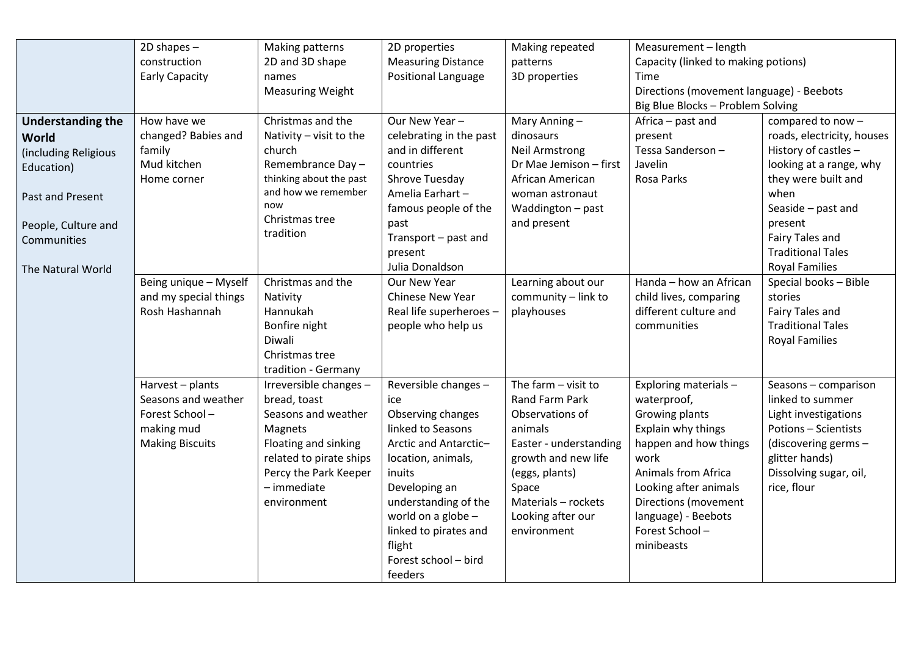|                          | $2D$ shapes $-$        | Making patterns         | 2D properties              | Making repeated        | Measurement - length                     |                            |
|--------------------------|------------------------|-------------------------|----------------------------|------------------------|------------------------------------------|----------------------------|
|                          | construction           | 2D and 3D shape         | <b>Measuring Distance</b>  | patterns               | Capacity (linked to making potions)      |                            |
|                          | <b>Early Capacity</b>  | names                   | <b>Positional Language</b> | 3D properties          | Time                                     |                            |
|                          |                        | <b>Measuring Weight</b> |                            |                        | Directions (movement language) - Beebots |                            |
|                          |                        |                         |                            |                        | Big Blue Blocks - Problem Solving        |                            |
| <b>Understanding the</b> | How have we            | Christmas and the       | Our New Year-              | Mary Anning-           | Africa - past and                        | compared to now -          |
| <b>World</b>             | changed? Babies and    | Nativity - visit to the | celebrating in the past    | dinosaurs              | present                                  | roads, electricity, houses |
| (including Religious     | family                 | church                  | and in different           | <b>Neil Armstrong</b>  | Tessa Sanderson-                         | History of castles -       |
| Education)               | Mud kitchen            | Remembrance Day-        | countries                  | Dr Mae Jemison - first | Javelin                                  | looking at a range, why    |
|                          | Home corner            | thinking about the past | Shrove Tuesday             | African American       | Rosa Parks                               | they were built and        |
| Past and Present         |                        | and how we remember     | Amelia Earhart-            | woman astronaut        |                                          | when                       |
|                          |                        | now                     | famous people of the       | Waddington - past      |                                          | Seaside - past and         |
| People, Culture and      |                        | Christmas tree          | past                       | and present            |                                          | present                    |
| Communities              |                        | tradition               | Transport - past and       |                        |                                          | Fairy Tales and            |
|                          |                        |                         | present                    |                        |                                          | <b>Traditional Tales</b>   |
| The Natural World        |                        |                         | Julia Donaldson            |                        |                                          | <b>Royal Families</b>      |
|                          | Being unique - Myself  | Christmas and the       | Our New Year               | Learning about our     | Handa - how an African                   | Special books - Bible      |
|                          | and my special things  | Nativity                | <b>Chinese New Year</b>    | community - link to    | child lives, comparing                   | stories                    |
|                          | Rosh Hashannah         | Hannukah                | Real life superheroes -    | playhouses             | different culture and                    | Fairy Tales and            |
|                          |                        | Bonfire night           | people who help us         |                        | communities                              | <b>Traditional Tales</b>   |
|                          |                        | Diwali                  |                            |                        |                                          | <b>Royal Families</b>      |
|                          |                        | Christmas tree          |                            |                        |                                          |                            |
|                          |                        | tradition - Germany     |                            |                        |                                          |                            |
|                          | Harvest - plants       | Irreversible changes -  | Reversible changes -       | The farm $-$ visit to  | Exploring materials -                    | Seasons - comparison       |
|                          | Seasons and weather    | bread, toast            | ice                        | Rand Farm Park         | waterproof,                              | linked to summer           |
|                          | Forest School-         | Seasons and weather     | Observing changes          | Observations of        | Growing plants                           | Light investigations       |
|                          | making mud             | Magnets                 | linked to Seasons          | animals                | Explain why things                       | Potions - Scientists       |
|                          | <b>Making Biscuits</b> | Floating and sinking    | Arctic and Antarctic-      | Easter - understanding | happen and how things                    | (discovering germs -       |
|                          |                        | related to pirate ships | location, animals,         | growth and new life    | work                                     | glitter hands)             |
|                          |                        | Percy the Park Keeper   | inuits                     | (eggs, plants)         | Animals from Africa                      | Dissolving sugar, oil,     |
|                          |                        | - immediate             | Developing an              | Space                  | Looking after animals                    | rice, flour                |
|                          |                        | environment             | understanding of the       | Materials - rockets    | Directions (movement                     |                            |
|                          |                        |                         | world on a globe $-$       | Looking after our      | language) - Beebots                      |                            |
|                          |                        |                         | linked to pirates and      | environment            | Forest School-                           |                            |
|                          |                        |                         | flight                     |                        | minibeasts                               |                            |
|                          |                        |                         | Forest school - bird       |                        |                                          |                            |
|                          |                        |                         | feeders                    |                        |                                          |                            |